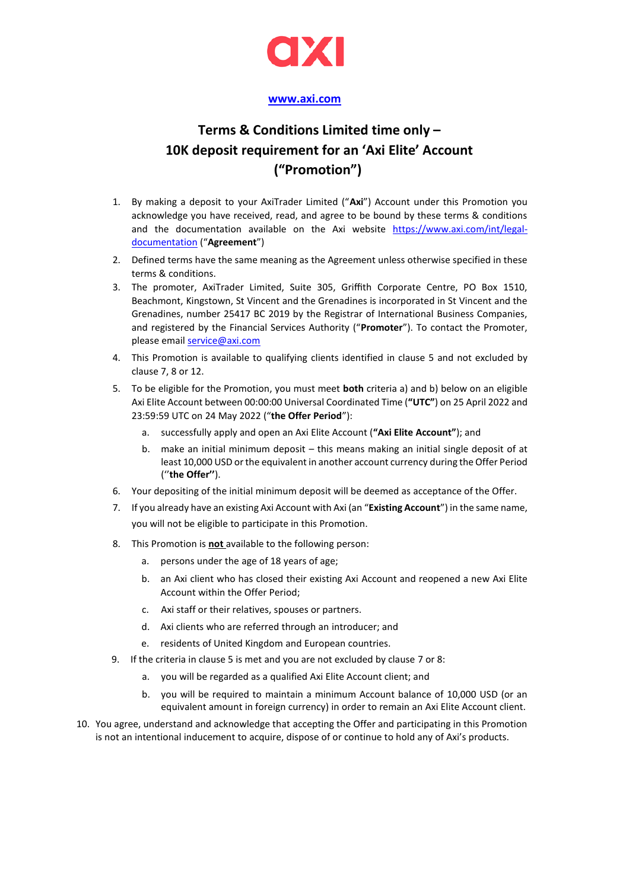

## **[www.axi.com](http://www.axi.com/)**

## **Terms & Conditions Limited time only – 10K deposit requirement for an 'Axi Elite' Account ("Promotion")**

- 1. By making a deposit to your AxiTrader Limited ("**Axi**") Account under this Promotion you acknowledge you have received, read, and agree to be bound by these terms & conditions and the documentation available on the Axi website [https://www.axi.com/int/legal](https://www.axi.com/int/legal-documentation)[documentation](https://www.axi.com/int/legal-documentation) ("**Agreement**")
- 2. Defined terms have the same meaning as the Agreement unless otherwise specified in these terms & conditions.
- 3. The promoter, AxiTrader Limited, Suite 305, Griffith Corporate Centre, PO Box 1510, Beachmont, Kingstown, St Vincent and the Grenadines is incorporated in St Vincent and the Grenadines, number 25417 BC 2019 by the Registrar of International Business Companies, and registered by the Financial Services Authority ("**Promoter**"). To contact the Promoter, please emai[l service@axi.com](mailto:service@axi.com)
- 4. This Promotion is available to qualifying clients identified in clause 5 and not excluded by clause 7, 8 or 12.
- 5. To be eligible for the Promotion, you must meet **both** criteria a) and b) below on an eligible Axi Elite Account between 00:00:00 Universal Coordinated Time (**"UTC"**) on 25 April 2022 and 23:59:59 UTC on 24 May 2022 ("**the Offer Period**"):
	- a. successfully apply and open an Axi Elite Account (**"Axi Elite Account"**); and
	- b. make an initial minimum deposit this means making an initial single deposit of at least 10,000 USD or the equivalent in another account currency during the Offer Period (''**the Offer''**).
- 6. Your depositing of the initial minimum deposit will be deemed as acceptance of the Offer.
- 7. If you already have an existing Axi Account with Axi (an "**Existing Account**") in the same name, you will not be eligible to participate in this Promotion.
- 8. This Promotion is **not** available to the following person:
	- a. persons under the age of 18 years of age;
	- b. an Axi client who has closed their existing Axi Account and reopened a new Axi Elite Account within the Offer Period;
	- c. Axi staff or their relatives, spouses or partners.
	- d. Axi clients who are referred through an introducer; and
	- e. residents of United Kingdom and European countries.
- 9. If the criteria in clause 5 is met and you are not excluded by clause 7 or 8:
	- a. you will be regarded as a qualified Axi Elite Account client; and
	- b. you will be required to maintain a minimum Account balance of 10,000 USD (or an equivalent amount in foreign currency) in order to remain an Axi Elite Account client.
- 10. You agree, understand and acknowledge that accepting the Offer and participating in this Promotion is not an intentional inducement to acquire, dispose of or continue to hold any of Axi's products.